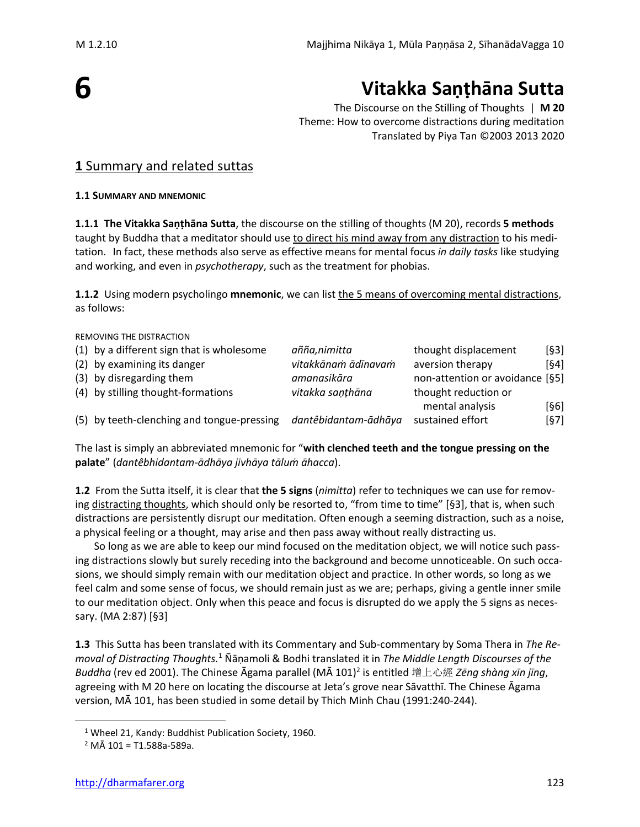# **6**

# **Vitakka Saṇṭhāna Sutta**

The Discourse on the Stilling of Thoughts | **M 20** Theme: How to overcome distractions during meditation Translated by Piya Tan ©2003 2013 2020

#### **1** Summary and related suttas

#### **1.1 SUMMARY AND MNEMONIC**

**1.1.1 The Vitakka Saṇṭhāna Sutta**, the discourse on the stilling of thoughts (M 20), records **5 methods** taught by Buddha that a meditator should use to direct his mind away from any distraction to his meditation. In fact, these methods also serve as effective means for mental focus *in daily tasks* like studying and working, and even in *psychotherapy*, such as the treatment for phobias.

**1.1.2** Using modern psycholingo **mnemonic**, we can list the 5 means of overcoming mental distractions, as follows:

REMOVING THE DISTRACTION (1) by a different sign that is wholesome *añña,nimitta* thought displacement [§3] (2) by examining its danger *vitakkānaṁ ādīnavaṁ* aversion therapy [§4] (3) by disregarding them *amanasikāra* non-attention or avoidance [§5] (4) by stilling thought-formations *vitakka saṇṭhāna* thought reduction or mental analysis [§6] (5) by teeth-clenching and tongue-pressing *dantêbidantam-ādhāya* sustained effort [§7]

The last is simply an abbreviated mnemonic for "**with clenched teeth and the tongue pressing on the palate**" (*dantêbhidantam-ādhāya jivhāya tāluṁ āhacca*).

**1.2** From the Sutta itself, it is clear that **the 5 signs** (*nimitta*) refer to techniques we can use for removing distracting thoughts, which should only be resorted to, "from time to time" [§3], that is, when such distractions are persistently disrupt our meditation. Often enough a seeming distraction, such as a noise, a physical feeling or a thought, may arise and then pass away without really distracting us.

So long as we are able to keep our mind focused on the meditation object, we will notice such passing distractions slowly but surely receding into the background and become unnoticeable. On such occasions, we should simply remain with our meditation object and practice. In other words, so long as we feel calm and some sense of focus, we should remain just as we are; perhaps, giving a gentle inner smile to our meditation object. Only when this peace and focus is disrupted do we apply the 5 signs as necessary. (MA 2:87) [§3]

**1.3** This Sutta has been translated with its Commentary and Sub-commentary by Soma Thera in *The Removal of Distracting Thoughts.*<sup>1</sup> Ñāṇamoli & Bodhi translated it in *The Middle Length Discourses of the Buddha* (rev ed 2001). The Chinese Āgama parallel (MĀ 101)<sup>2</sup> is entitled 增上心經 *Zēng shàng xīn jīng*, agreeing with M 20 here on locating the discourse at Jeta's grove near Sāvatthī. The Chinese Āgama version, MĀ 101, has been studied in some detail by Thich Minh Chau (1991:240-244).

<sup>&</sup>lt;sup>1</sup> Wheel 21, Kandy: Buddhist Publication Society, 1960.

 $2$  MÅ 101 = T1.588a-589a.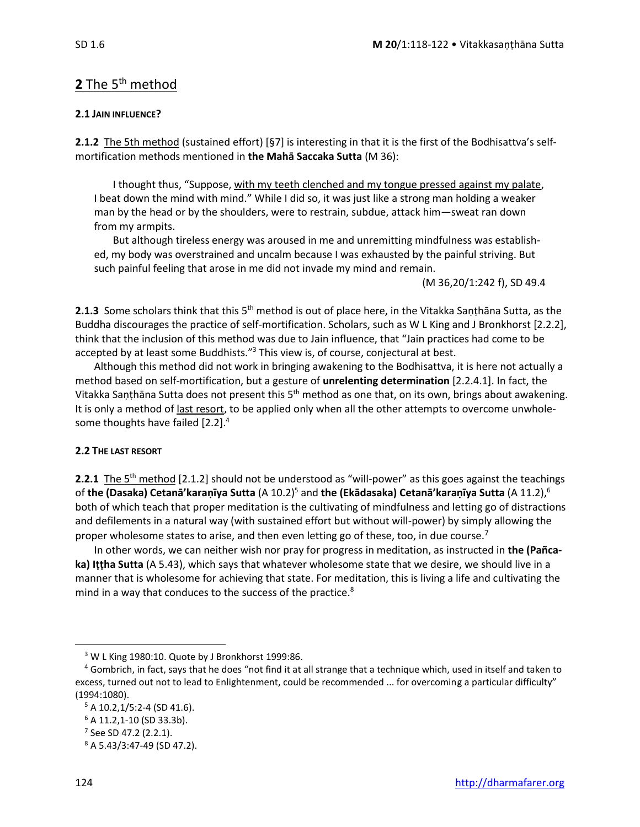#### 2 The 5<sup>th</sup> method

#### **2.1 JAIN INFLUENCE?**

**2.1.2** The 5th method (sustained effort) [§7] is interesting in that it is the first of the Bodhisattva's selfmortification methods mentioned in **the Mahā Saccaka Sutta** (M 36):

I thought thus, "Suppose, with my teeth clenched and my tongue pressed against my palate, I beat down the mind with mind." While I did so, it was just like a strong man holding a weaker man by the head or by the shoulders, were to restrain, subdue, attack him—sweat ran down from my armpits.

But although tireless energy was aroused in me and unremitting mindfulness was established, my body was overstrained and uncalm because I was exhausted by the painful striving. But such painful feeling that arose in me did not invade my mind and remain.

(M 36,20/1:242 f), SD 49.4

**2.1.3** Some scholars think that this 5<sup>th</sup> method is out of place here, in the Vitakka Saṇṭhāna Sutta, as the Buddha discourages the practice of self-mortification. Scholars, such as W L King and J Bronkhorst [2.2.2], think that the inclusion of this method was due to Jain influence, that "Jain practices had come to be accepted by at least some Buddhists."<sup>3</sup> This view is, of course, conjectural at best.

Although this method did not work in bringing awakening to the Bodhisattva, it is here not actually a method based on self-mortification, but a gesture of **unrelenting determination** [2.2.4.1]. In fact, the Vitakka Saṇṭhāna Sutta does not present this 5<sup>th</sup> method as one that, on its own, brings about awakening. It is only a method of last resort, to be applied only when all the other attempts to overcome unwholesome thoughts have failed [2.2].<sup>4</sup>

#### **2.2 THE LAST RESORT**

**2.2.1** The 5<sup>th</sup> method [2.1.2] should not be understood as "will-power" as this goes against the teachings of **the (Dasaka) Cetanā'karaṇīya Sutta** (A 10.2)<sup>5</sup> and **the (Ekādasaka) Cetanā'karaṇīya Sutta** (A 11.2),<sup>6</sup> both of which teach that proper meditation is the cultivating of mindfulness and letting go of distractions and defilements in a natural way (with sustained effort but without will-power) by simply allowing the proper wholesome states to arise, and then even letting go of these, too, in due course.<sup>7</sup>

In other words, we can neither wish nor pray for progress in meditation, as instructed in **the (Pañcaka) Iṭṭha Sutta** (A 5.43), which says that whatever wholesome state that we desire, we should live in a manner that is wholesome for achieving that state. For meditation, this is living a life and cultivating the mind in a way that conduces to the success of the practice.<sup>8</sup>

<sup>&</sup>lt;sup>3</sup> W L King 1980:10. Quote by J Bronkhorst 1999:86.

<sup>4</sup> Gombrich, in fact, says that he does "not find it at all strange that a technique which, used in itself and taken to excess, turned out not to lead to Enlightenment, could be recommended ... for overcoming a particular difficulty" (1994:1080).

 $5$  A 10.2,1/5:2-4 (SD 41.6).

<sup>6</sup> A 11.2,1-10 (SD 33.3b).

<sup>&</sup>lt;sup>7</sup> See SD 47.2 (2.2.1).

<sup>8</sup> A 5.43/3:47-49 (SD 47.2).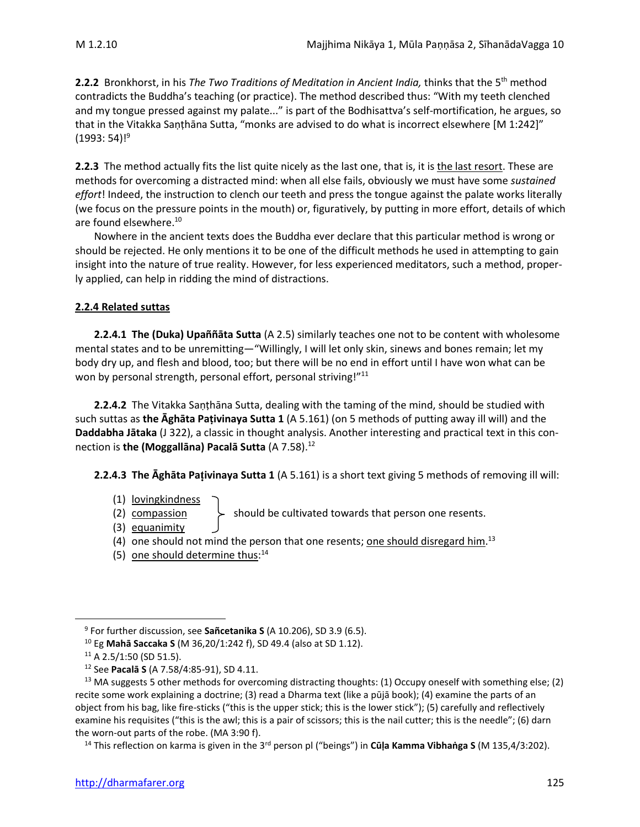2.2.2 Bronkhorst, in his *The Two Traditions of Meditation in Ancient India, thinks that the 5<sup>th</sup> method* contradicts the Buddha's teaching (or practice). The method described thus: "With my teeth clenched and my tongue pressed against my palate..." is part of the Bodhisattva's self-mortification, he argues, so that in the Vitakka Saṇṭhāna Sutta, "monks are advised to do what is incorrect elsewhere [M 1:242]" (1993: 54)! 9

**2.2.3** The method actually fits the list quite nicely as the last one, that is, it is the last resort. These are methods for overcoming a distracted mind: when all else fails, obviously we must have some *sustained effort*! Indeed, the instruction to clench our teeth and press the tongue against the palate works literally (we focus on the pressure points in the mouth) or, figuratively, by putting in more effort, details of which are found elsewhere.<sup>10</sup>

Nowhere in the ancient texts does the Buddha ever declare that this particular method is wrong or should be rejected. He only mentions it to be one of the difficult methods he used in attempting to gain insight into the nature of true reality. However, for less experienced meditators, such a method, properly applied, can help in ridding the mind of distractions.

#### **2.2.4 Related suttas**

**2.2.4.1 The (Duka) Upaññāta Sutta** (A 2.5) similarly teaches one not to be content with wholesome mental states and to be unremitting—"Willingly, I will let only skin, sinews and bones remain; let my body dry up, and flesh and blood, too; but there will be no end in effort until I have won what can be won by personal strength, personal effort, personal striving!"<sup>11</sup>

**2.2.4.2** The Vitakka Saṇṭhāna Sutta, dealing with the taming of the mind, should be studied with such suttas as **the Ᾱghāta Paṭivinaya Sutta 1** (A 5.161) (on 5 methods of putting away ill will) and the **Daddabha Jātaka** (J 322), a classic in thought analysis. Another interesting and practical text in this connection is **the (Moggallāna) Pacalā Sutta** (A 7.58).<sup>12</sup>

**2.2.4.3 The Āghāta Paivinaya Sutta 1** (A 5.161) is a short text giving 5 methods of removing ill will:

- (1) lovingkindness
- (2) compassion  $\downarrow$  should be cultivated towards that person one resents.
- (3) equanimity
- (4) one should not mind the person that one resents; <u>one should disregard him</u>.<sup>13</sup>
- (5) one should determine thus:<sup>14</sup>

<sup>9</sup> For further discussion, see **Sañcetanika S** (A 10.206), SD 3.9 (6.5).

<sup>10</sup> Eg **Mahā Saccaka S** (M 36,20/1:242 f), SD 49.4 (also at SD 1.12).

 $11$  A 2.5/1:50 (SD 51.5).

<sup>12</sup> See **Pacalā S** (A 7.58/4:85-91), SD 4.11.

<sup>&</sup>lt;sup>13</sup> MA suggests 5 other methods for overcoming distracting thoughts: (1) Occupy oneself with something else; (2) recite some work explaining a doctrine; (3) read a Dharma text (like a pūjā book); (4) examine the parts of an object from his bag, like fire-sticks ("this is the upper stick; this is the lower stick"); (5) carefully and reflectively examine his requisites ("this is the awl; this is a pair of scissors; this is the nail cutter; this is the needle"; (6) darn the worn-out parts of the robe. (MA 3:90 f).

<sup>14</sup> This reflection on karma is given in the 3rd person pl ("beings") in **Cūḷa Kamma Vibhaṅga S** (M 135,4/3:202).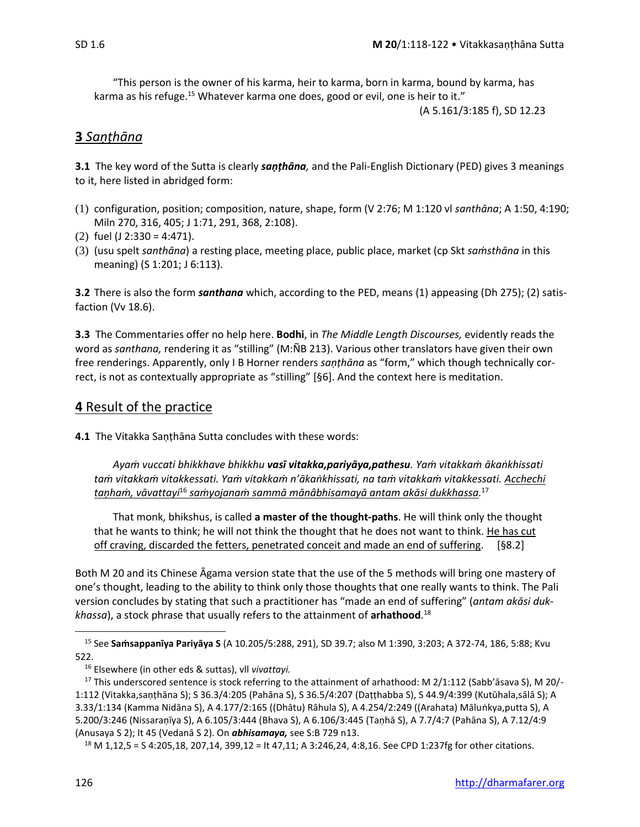"This person is the owner of his karma, heir to karma, born in karma, bound by karma, has karma as his refuge.<sup>15</sup> Whatever karma one does, good or evil, one is heir to it."

(A 5.161/3:185 f), SD 12.23

#### **3** *Saṇṭhāna*

**3.1** The key word of the Sutta is clearly *saṇṭhāna,* and the Pali-English Dictionary (PED) gives 3 meanings to it, here listed in abridged form:

- (1) configuration, position; composition, nature, shape, form (V 2:76; M 1:120 vl *santhāna*; A 1:50, 4:190; Miln 270, 316, 405; J 1:71, 291, 368, 2:108).
- (2) fuel (J 2:330 = 4:471).
- (3) (usu spelt *santhāna*) a resting place, meeting place, public place, market (cp Skt *saṁsthāna* in this meaning) (S 1:201; J 6:113).

**3.2** There is also the form *santhana* which, according to the PED, means (1) appeasing (Dh 275); (2) satisfaction (Vv 18.6).

**3.3** The Commentaries offer no help here. **Bodhi**, in *The Middle Length Discourses,* evidently reads the word as *santhana,* rendering it as "stilling" (M:ÑB 213). Various other translators have given their own free renderings. Apparently, only I B Horner renders *saṇṭhāna* as "form," which though technically correct, is not as contextually appropriate as "stilling" [§6]. And the context here is meditation.

#### **4** Result of the practice

**4.1** The Vitakka Saṇṭhāna Sutta concludes with these words:

*Ayaṁ vuccati bhikkhave bhikkhu vasī vitakka,pariyāya,pathesu. Yaṁ vitakkaṁ ākaṅkhissati taṁ vitakkaṁ vitakkessati. Yaṁ vitakkaṁ n'ākaṅkhissati, na taṁ vitakkaṁ vitakkessati. Acchechi taṇhaṁ, vāvattayi*<sup>16</sup> *saṁyojanaṁ sammā mānâbhisamayā antam akāsi dukkhassa.* 17

That monk, bhikshus, is called **a master of the thought-paths**. He will think only the thought that he wants to think; he will not think the thought that he does not want to think. He has cut off craving, discarded the fetters, penetrated conceit and made an end of suffering. [§8.2]

Both M 20 and its Chinese Āgama version state that the use of the 5 methods will bring one mastery of one's thought, leading to the ability to think only those thoughts that one really wants to think. The Pali version concludes by stating that such a practitioner has "made an end of suffering" (*antam akāsi dukkhassa*), a stock phrase that usually refers to the attainment of **arhathood**. 18

<sup>15</sup> See **Saṁsappanīya Pariyāya S** (A 10.205/5:288, 291), SD 39.7; also M 1:390, 3:203; A 372-74, 186, 5:88; Kvu 522.

<sup>16</sup> Elsewhere (in other eds & suttas), vll *vivattayi.*

<sup>&</sup>lt;sup>17</sup> This underscored sentence is stock referring to the attainment of arhathood: M  $2/1:112$  (Sabb'āsava S), M  $20/$ -1:112 (Vitakka,saṇṭhāna S); S 36.3/4:205 (Pahāna S), S 36.5/4:207 (Daṭṭhabba S), S 44.9/4:399 (Kutūhala,sālā S); A 3.33/1:134 (Kamma Nidāna S), A 4.177/2:165 ((Dhātu) Rāhula S), A 4.254/2:249 ((Arahata) Māluṅkya,putta S), A 5.200/3:246 (Nissaraṇīya S), A 6.105/3:444 (Bhava S), A 6.106/3:445 (Taṇhā S), A 7.7/4:7 (Pahāna S), A 7.12/4:9 (Anusaya S 2); It 45 (Vedanā S 2). On *abhisamaya,* see S:B 729 n13.

<sup>18</sup> M 1,12,5 = S 4:205,18, 207,14, 399,12 = It 47,11; A 3:246,24, 4:8,16. See CPD 1:237fg for other citations.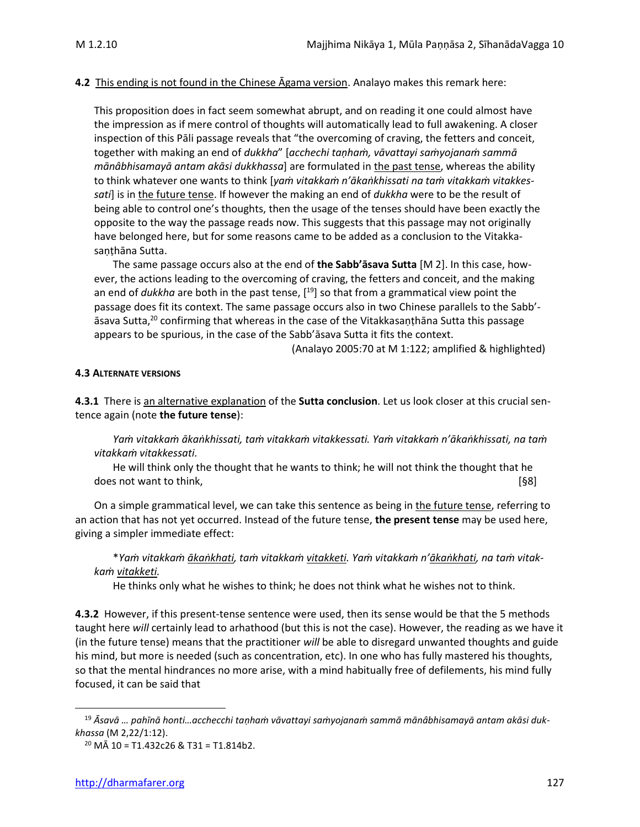#### **4.2** This ending is not found in the Chinese Āgama version. Analayo makes this remark here:

This proposition does in fact seem somewhat abrupt, and on reading it one could almost have the impression as if mere control of thoughts will automatically lead to full awakening. A closer inspection of this Pāli passage reveals that "the overcoming of craving, the fetters and conceit, together with making an end of *dukkha*" [*acchechi taṇhaṁ, vāvattayi saṁyojanaṁ sammā mānâbhisamayā antam akāsi dukkhassa*] are formulated in the past tense, whereas the ability to think whatever one wants to think [*yaṁ vitakkaṁ n'ākaṅkhissati na taṁ vitakkaṁ vitakkes*sati] is in the future tense. If however the making an end of *dukkha* were to be the result of being able to control one's thoughts, then the usage of the tenses should have been exactly the opposite to the way the passage reads now. This suggests that this passage may not originally have belonged here, but for some reasons came to be added as a conclusion to the Vitakkasaṇṭhāna Sutta.

The same passage occurs also at the end of **the Sabb'āsava Sutta** [M 2]. In this case, however, the actions leading to the overcoming of craving, the fetters and conceit, and the making an end of *dukkha* are both in the past tense, [<sup>19</sup>] so that from a grammatical view point the passage does fit its context. The same passage occurs also in two Chinese parallels to the Sabb' āsava Sutta,<sup>20</sup> confirming that whereas in the case of the Vitakkasaṇṭhāna Sutta this passage appears to be spurious, in the case of the Sabb'āsava Sutta it fits the context.

(Analayo 2005:70 at M 1:122; amplified & highlighted)

#### **4.3 ALTERNATE VERSIONS**

**4.3.1** There is an alternative explanation of the **Sutta conclusion**. Let us look closer at this crucial sentence again (note **the future tense**):

Yam vitakkam ākankhissati, tam vitakkam vitakkessati. Yam vitakkam n'ākankhissati, na tam *vitakkaṁ vitakkessati.*

He will think only the thought that he wants to think; he will not think the thought that he does not want to think, **contrary to the contrary of the contrary of the contrary of the contrary of the contrary of the contrary of the contrary of the contrary of the contrary of the contrary of the contrary of the contr** 

On a simple grammatical level, we can take this sentence as being in the future tense, referring to an action that has not yet occurred. Instead of the future tense, **the present tense** may be used here, giving a simpler immediate effect:

\*Yam vitakkam ākankhati, tam vitakkam vitakketi. Yam vitakkam n'ākankhati, na tam vitak*kaṁ vitakketi.*

He thinks only what he wishes to think; he does not think what he wishes not to think.

**4.3.2** However, if this present-tense sentence were used, then its sense would be that the 5 methods taught here *will* certainly lead to arhathood (but this is not the case). However, the reading as we have it (in the future tense) means that the practitioner *will* be able to disregard unwanted thoughts and guide his mind, but more is needed (such as concentration, etc). In one who has fully mastered his thoughts, so that the mental hindrances no more arise, with a mind habitually free of defilements, his mind fully focused, it can be said that

<sup>19</sup> *Āsavā … pahīnā honti…acchecchi taṇhaṁ vāvattayi saṁyojanaṁ sammā mānâbhisamayā antam akāsi dukkhassa* (M 2,22/1:12).

 $^{20}$  MÅ 10 = T1.432c26 & T31 = T1.814b2.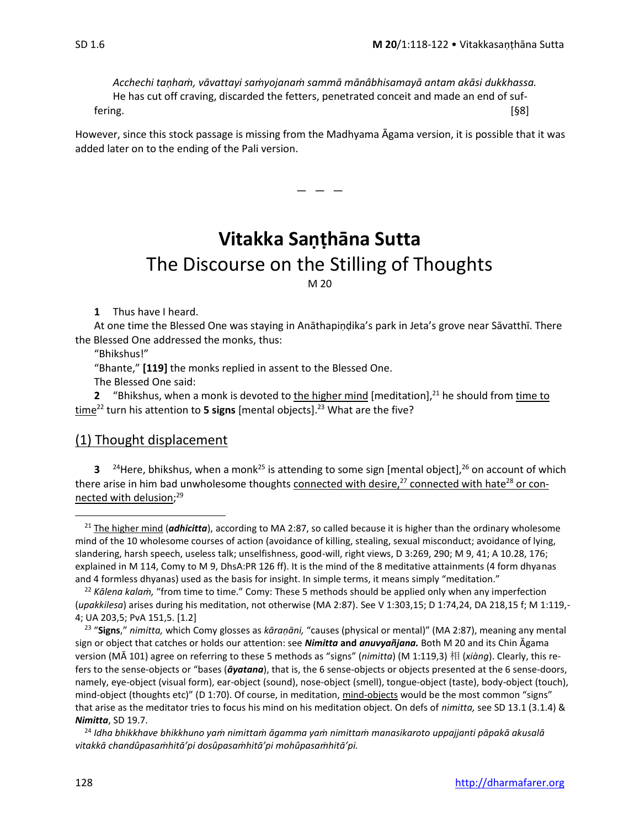*Acchechi taṇhaṁ, vāvattayi saṁyojanaṁ sammā mānâbhisamayā antam akāsi dukkhassa.* He has cut off craving, discarded the fetters, penetrated conceit and made an end of suffering. [§8]

However, since this stock passage is missing from the Madhyama Agama version, it is possible that it was added later on to the ending of the Pali version.

 $-$ 

## **Vitakka Saṇṭhāna Sutta** The Discourse on the Stilling of Thoughts M 20

**1** Thus have I heard.

At one time the Blessed One was staying in Anāthapiṇḍika's park in Jeta's grove near Sāvatthī. There the Blessed One addressed the monks, thus:

"Bhikshus!"

"Bhante," **[119]** the monks replied in assent to the Blessed One.

The Blessed One said:

**2** "Bhikshus, when a monk is devoted to the higher mind [meditation], $21$  he should from time to time<sup>22</sup> turn his attention to **5 signs** [mental objects].<sup>23</sup> What are the five?

#### (1) Thought displacement

**3** <sup>24</sup>Here, bhikshus, when a monk<sup>25</sup> is attending to some sign [mental object],<sup>26</sup> on account of which there arise in him bad unwholesome thoughts connected with desire, $^{27}$  connected with hate<sup>28</sup> or connected with delusion; 29

<sup>&</sup>lt;sup>21</sup> The higher mind (*adhicitta*), according to MA 2:87, so called because it is higher than the ordinary wholesome mind of the 10 wholesome courses of action (avoidance of killing, stealing, sexual misconduct; avoidance of lying, slandering, harsh speech, useless talk; unselfishness, good-will, right views, D 3:269, 290; M 9, 41; A 10.28, 176; explained in M 114, Comy to M 9, DhsA:PR 126 ff). It is the mind of the 8 meditative attainments (4 form dhyanas and 4 formless dhyanas) used as the basis for insight. In simple terms, it means simply "meditation."

<sup>22</sup> *Kālena kalaṁ,* "from time to time." Comy: These 5 methods should be applied only when any imperfection (*upakkilesa*) arises during his meditation, not otherwise (MA 2:87). See V 1:303,15; D 1:74,24, DA 218,15 f; M 1:119,- 4; UA 203,5; PvA 151,5. [1.2]

<sup>23</sup> "**Signs**," *nimitta,* which Comy glosses as *kāraṇāni,* "causes (physical or mental)" (MA 2:87), meaning any mental sign or object that catches or holds our attention: see *Nimitta* **and** *anuvyañjana.* Both M 20 and its Chin Āgama version (MĀ 101) agree on referring to these 5 methods as "signs" (*nimitta*) (M 1:119,3) 相 (*[xiàng](http://us.mdbg.net/chindict/chindict.php?page=worddict&wdrst=0&wdqb=%E7%9B%B8)*). Clearly, this refers to the sense-objects or "bases (*āyatana*), that is, the 6 sense-objects or objects presented at the 6 sense-doors, namely, eye-object (visual form), ear-object (sound), nose-object (smell), tongue-object (taste), body-object (touch), mind-object (thoughts etc)" (D 1:70). Of course, in meditation, mind-objects would be the most common "signs" that arise as the meditator tries to focus his mind on his meditation object. On defs of *nimitta,* see SD 13.1 (3.1.4) & *Nimitta*, SD 19.7.

<sup>24</sup> *Idha bhikkhave bhikkhuno yaṁ nimittaṁ āgamma yaṁ nimittaṁ manasikaroto uppajjanti pāpakā akusalā vitakkā chandûpasaṁhitā'pi dosûpasaṁhitā'pi mohûpasaṁhitā'pi.*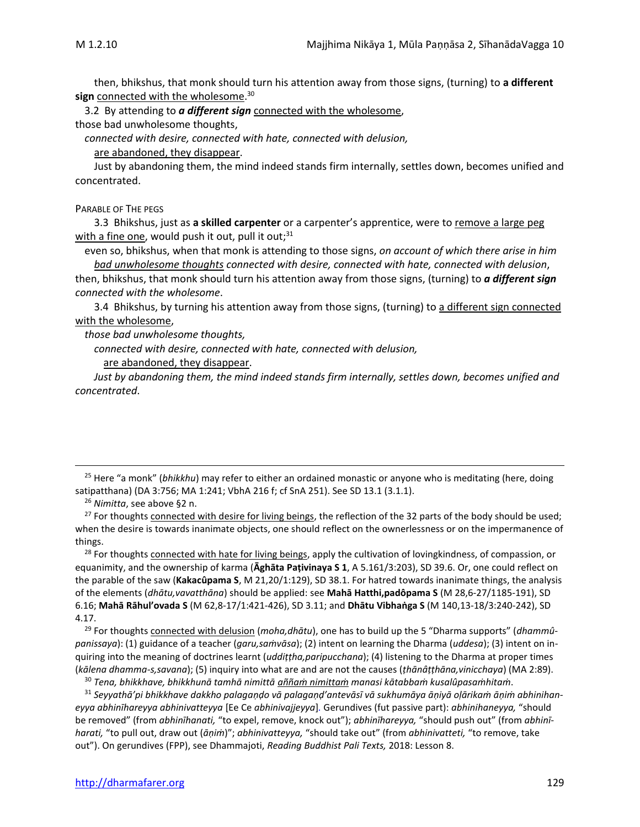then, bhikshus, that monk should turn his attention away from those signs, (turning) to **a different sign** connected with the wholesome. 30

3.2 By attending to *a different sign* connected with the wholesome, those bad unwholesome thoughts,

*connected with desire, connected with hate, connected with delusion,*

are abandoned, they disappear.

Just by abandoning them, the mind indeed stands firm internally, settles down, becomes unified and concentrated.

PARABLE OF THE PEGS

3.3Bhikshus, just as **a skilled carpenter** or a carpenter's apprentice, were to remove a large peg with a fine one, would push it out, pull it out;<sup>31</sup>

even so, bhikshus, when that monk is attending to those signs, *on account of which there arise in him bad unwholesome thoughts connected with desire, connected with hate, connected with delusion*,

then, bhikshus, that monk should turn his attention away from those signs, (turning) to *a different sign connected with the wholesome*.

3.4 Bhikshus, by turning his attention away from those signs, (turning) to a different sign connected with the wholesome,

*those bad unwholesome thoughts,* 

*connected with desire, connected with hate, connected with delusion,* 

are abandoned, they disappear.

*Just by abandoning them, the mind indeed stands firm internally, settles down, becomes unified and concentrated*.

<sup>28</sup> For thoughts connected with hate for living beings, apply the cultivation of lovingkindness, of compassion, or equanimity, and the ownership of karma (**Āghāta Paṭivinaya S 1**, A 5.161/3:203), SD 39.6. Or, one could reflect on the parable of the saw (**Kakacûpama S**, M 21,20/1:129), SD 38.1. For hatred towards inanimate things, the analysis of the elements (*dhātu,vavatthāna*) should be applied: see **Mahā Hatthi,padôpama S** (M 28,6-27/1185-191), SD 6.16; **Mahā Rāhul'ovada S** (M 62,8-17/1:421-426), SD 3.11; and **Dhātu Vibhaṅga S** (M 140,13-18/3:240-242), SD 4.17.

<sup>29</sup> For thoughts connected with delusion (*moha,dhātu*), one has to build up the 5 "Dharma supports" (*dhammûpanissaya*): (1) guidance of a teacher (*garu,saṁvāsa*); (2) intent on learning the Dharma (*uddesa*); (3) intent on inquiring into the meaning of doctrines learnt (*uddiṭṭha,paripucchana*); (4) listening to the Dharma at proper times (*kālena dhamma-s,savana*); (5) inquiry into what are and are not the causes (*ṭhānâṭṭhāna,vinicchaya*) (MA 2:89).

<sup>30</sup> *Tena, bhikkhave, bhikkhunā tamhā nimittā aññaṁ nimittaṁ manasi kātabbaṁ kusalûpasaṁhitaṁ*.

<sup>31</sup> *Seyyathā'pi bhikkhave dakkho palagaṇḍo vā palagaṇḍ'antevāsī vā sukhumāya āṇiyā oḷārikaṁ āṇiṁ abhinihaneyya abhinīhareyya abhinivatteyya* [Ee Ce *abhinivajjeyya*]*.* Gerundives (fut passive part): *abhinihaneyya,* "should be removed" (from *abhinīhanati,* "to expel, remove, knock out"); *abhinīhareyya,* "should push out" (from *abhinīharati,* "to pull out, draw out (*āṇiṁ*)"; *abhinivatteyya,* "should take out" (from *abhinivatteti,* "to remove, take out"). On gerundives (FPP), see Dhammajoti, *Reading Buddhist Pali Texts,* 2018: Lesson 8.

<sup>25</sup> Here "a monk" (*bhikkhu*) may refer to either an ordained monastic or anyone who is meditating (here, doing satipatthana) (DA 3:756; MA 1:241; VbhA 216 f; cf SnA 251). See SD 13.1 (3.1.1).

<sup>26</sup> *Nimitta*, see above §2 n.

<sup>&</sup>lt;sup>27</sup> For thoughts connected with desire for living beings, the reflection of the 32 parts of the body should be used; when the desire is towards inanimate objects, one should reflect on the ownerlessness or on the impermanence of things.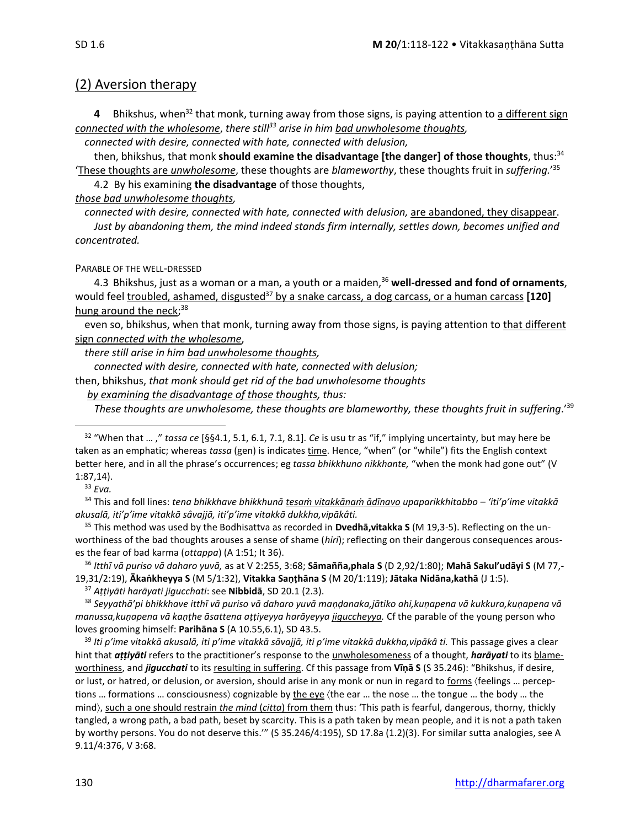#### (2) Aversion therapy

4 Bhikshus, when<sup>32</sup> that monk, turning away from those signs, is paying attention to a different sign *connected with the wholesome*, *there still<sup>33</sup> arise in him bad unwholesome thoughts,*

*connected with desire, connected with hate, connected with delusion,* 

then, bhikshus, that monk **should examine the disadvantage [the danger] of those thoughts**, thus:<sup>34</sup> 'These thoughts are *unwholesome*, these thoughts are *blameworthy*, these thoughts fruit in *suffering.*' 35 4.2 By his examining **the disadvantage** of those thoughts,

*those bad unwholesome thoughts,* 

*connected with desire, connected with hate, connected with delusion,* are abandoned, they disappear. *Just by abandoning them, the mind indeed stands firm internally, settles down, becomes unified and concentrated.* 

#### PARABLE OF THE WELL-DRESSED

4.3 Bhikshus, just as a woman or a man, a youth or a maiden,<sup>36</sup> well-dressed and fond of ornaments, would feel troubled, ashamed, disgusted<sup>37</sup> by a snake carcass, a dog carcass, or a human carcass [120] hung around the neck;<sup>38</sup>

even so, bhikshus, when that monk, turning away from those signs, is paying attention to that different sign *connected with the wholesome*,

*there still arise in him bad unwholesome thoughts,*

*connected with desire, connected with hate, connected with delusion;*

then, bhikshus, *that monk should get rid of the bad unwholesome thoughts*

*by examining the disadvantage of those thoughts, thus:*

*These thoughts are unwholesome, these thoughts are blameworthy, these thoughts fruit in suffering*.'<sup>39</sup>

<sup>34</sup> This and foll lines: *tena bhikkhave bhikkhunā tesaṁ vitakkānaṁ ādīnavo upaparikkhitabbo – 'iti'p'ime vitakkā akusalā, iti'p'ime vitakkā sâvajjā, iti'p'ime vitakkā dukkha,vipākâti.*

<sup>35</sup> This method was used by the Bodhisattva as recorded in **Dvedhā,vitakka S** (M 19,3-5). Reflecting on the unworthiness of the bad thoughts arouses a sense of shame (*hiri*); reflecting on their dangerous consequences arouses the fear of bad karma (*ottappa*) (A 1:51; It 36).

<sup>36</sup> *Itthī vā puriso vā daharo yuvā,* as at V 2:255, 3:68; **Sāmañña,phala S** (D 2,92/1:80); **Mahā Sakul'udāyi S** (M 77,- 19,31/2:19), **Ākaṅkheyya S** (M 5/1:32), **Vitakka Saṇṭhāna S** (M 20/1:119); **Jātaka Nidāna,kathā** (J 1:5).

<sup>37</sup> *Aṭṭiyāti harāyati jigucchati*: see **Nibbidā**, SD 20.1 (2.3).

<sup>38</sup> *Seyyathā'pi bhikkhave itthī vā puriso vā daharo yuvā maṇḍanaka,jātiko ahi,kuṇapena vā kukkura,kuṇapena vā manussa,kuṇapena vā kaṇṭhe āsattena aṭṭiyeyya harāyeyya jiguccheyya.* Cf the parable of the young person who loves grooming himself: **Parihāna S** (A 10.55,6.1), SD 43.5.

<sup>39</sup> *Iti p'ime vitakkā akusalā, iti p'ime vitakkā sāvajjā, iti p'ime vitakkā dukkha,vipākâ ti.* This passage gives a clear hint that *aṭṭiyāti* refers to the practitioner's response to the unwholesomeness of a thought, *harāyati* to its blameworthiness, and *jigucchati* to its resulting in suffering. Cf this passage from **Vīṇā S** (S 35.246): "Bhikshus, if desire, or lust, or hatred, or delusion, or aversion, should arise in any monk or nun in regard to forms (feelings ... perceptions ... formations ... consciousness) cognizable by the eye (the ear ... the nose ... the tongue ... the body ... the mind, such a one should restrain *the mind* (*citta*) from them thus: 'This path is fearful, dangerous, thorny, thickly tangled, a wrong path, a bad path, beset by scarcity. This is a path taken by mean people, and it is not a path taken by worthy persons. You do not deserve this.'" (S 35.246/4:195), SD 17.8a (1.2)(3). For similar sutta analogies, see A 9.11/4:376, V 3:68.

<sup>32</sup> "When that … ," *tassa ce* [§§4.1, 5.1, 6.1, 7.1, 8.1]*. Ce* is usu tr as "if," implying uncertainty, but may here be taken as an emphatic; whereas *tassa* (gen) is indicates time. Hence, "when" (or "while") fits the English context better here, and in all the phrase's occurrences; eg *tassa bhikkhuno nikkhante,* "when the monk had gone out" (V 1:87,14).

<sup>33</sup> *Eva.*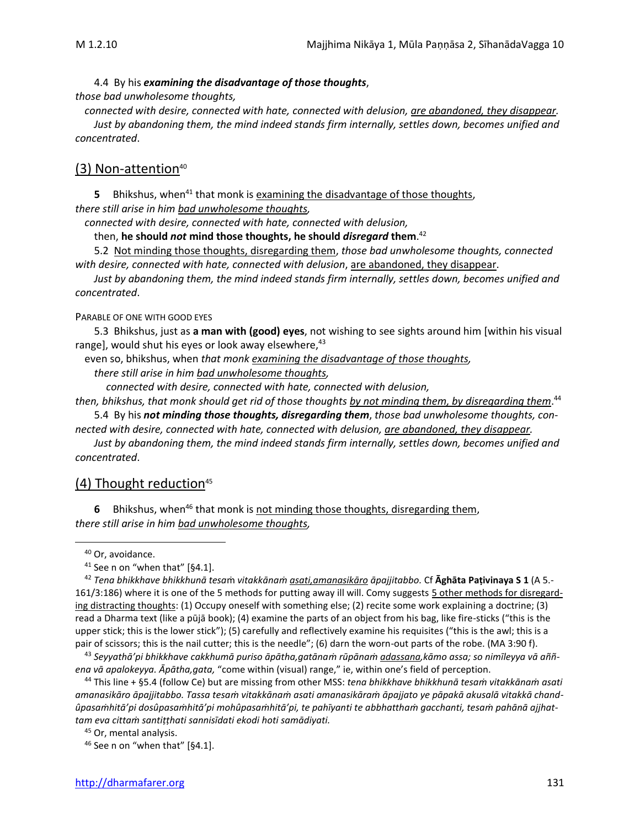4.4 By his *examining the disadvantage of those thoughts*, *those bad unwholesome thoughts,*

*connected with desire, connected with hate, connected with delusion, are abandoned, they disappear. Just by abandoning them, the mind indeed stands firm internally, settles down, becomes unified and concentrated*.

#### (3) Non-attention<sup>40</sup>

**5** Bhikshus, when<sup>41</sup> that monk is examining the disadvantage of those thoughts, *there still arise in him bad unwholesome thoughts,*

*connected with desire, connected with hate, connected with delusion,* 

then, **he should** *not* **mind those thoughts, he should** *disregard* **them**. 42

5.2 Not minding those thoughts, disregarding them, *those bad unwholesome thoughts, connected with desire, connected with hate, connected with delusion*, are abandoned, they disappear.

*Just by abandoning them, the mind indeed stands firm internally, settles down, becomes unified and concentrated*.

#### PARABLE OF ONE WITH GOOD EYES

5.3 Bhikshus, just as **a man with (good) eyes**, not wishing to see sights around him [within his visual range], would shut his eyes or look away elsewhere,<sup>43</sup>

even so, bhikshus, when *that monk examining the disadvantage of those thoughts, there still arise in him bad unwholesome thoughts,*

*connected with desire, connected with hate, connected with delusion,* 

*then, bhikshus, that monk should get rid of those thoughts by not minding them, by disregarding them*. 44 5.4 By his *not minding those thoughts, disregarding them*, *those bad unwholesome thoughts, con-*

*nected with desire, connected with hate, connected with delusion, are abandoned, they disappear.*

*Just by abandoning them, the mind indeed stands firm internally, settles down, becomes unified and concentrated*.

#### (4) Thought reduction $45$

**6** Bhikshus, when<sup>46</sup> that monk is not minding those thoughts, disregarding them, *there still arise in him bad unwholesome thoughts,*

<sup>43</sup> *Seyyathā'pi bhikkhave cakkhumā puriso āpātha,gatānaṁ rūpānaṁ adassana,kāmo assa; so nimīleyya vā aññena vā apalokeyya. Āpātha,gata,* "come within (visual) range," ie, within one's field of perception.

<sup>44</sup> This line + §5.4 (follow Ce) but are missing from other MSS: *tena bhikkhave bhikkhunā tesaṁ vitakkānaṁ asati amanasikāro āpajjitabbo. Tassa tesaṁ vitakkānaṁ asati amanasikāraṁ āpajjato ye pāpakā akusalā vitakkā chandûpasaṁhitā'pi dosûpasaṁhitā'pi mohûpasaṁhitā'pi, te pahīyanti te abbhatthaṁ gacchanti, tesaṁ pahānā ajjhattam eva cittaṁ santiṭṭhati sannisīdati ekodi hoti samādiyati.*

<sup>45</sup> Or, mental analysis.

 $46$  See n on "when that" [§4.1].

<sup>40</sup> Or, avoidance.

 $41$  See n on "when that" [§4.1].

<sup>42</sup> *Tena bhikkhave bhikkhunā tesa*ṁ *vitakkānaṁ asati,amanasikāro āpajjitabbo.* Cf **Ᾱghāta Paṭivinaya S 1** (A 5.- 161/3:186) where it is one of the 5 methods for putting away ill will. Comy suggests 5 other methods for disregarding distracting thoughts: (1) Occupy oneself with something else; (2) recite some work explaining a doctrine; (3) read a Dharma text (like a pūjā book); (4) examine the parts of an object from his bag, like fire-sticks ("this is the upper stick; this is the lower stick"); (5) carefully and reflectively examine his requisites ("this is the awl; this is a pair of scissors; this is the nail cutter; this is the needle"; (6) darn the worn-out parts of the robe. (MA 3:90 f).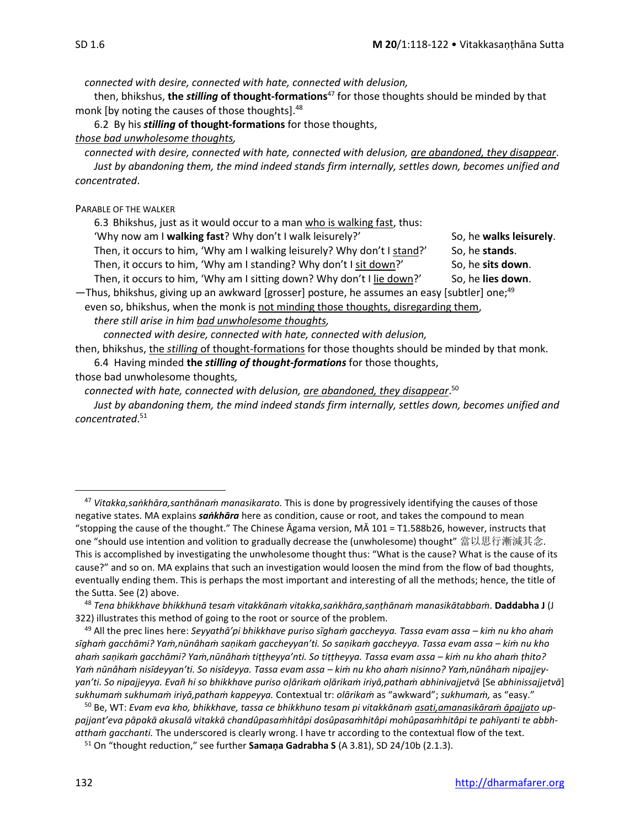*connected with desire, connected with hate, connected with delusion,*

then, bhikshus, **the** *stilling* **of thought-formations** <sup>47</sup> for those thoughts should be minded by that monk [by noting the causes of those thoughts].<sup>48</sup>

6.2 By his *stilling* **of thought-formations** for those thoughts,

#### *those bad unwholesome thoughts,*

*connected with desire, connected with hate, connected with delusion, are abandoned, they disappear*. *Just by abandoning them, the mind indeed stands firm internally, settles down, becomes unified and concentrated*.

PARABLE OF THE WALKER

6.3 Bhikshus, just as it would occur to a man who is walking fast, thus:

'Why now am I walking fast? Why don't I walk leisurely?' So, he walks leisurely.

Then, it occurs to him, 'Why am I walking leisurely? Why don't I stand?' So, he **stands**. Then, it occurs to him, 'Why am I standing? Why don't I sit down?' So, he sits down.

Then, it occurs to him, 'Why am I sitting down? Why don't I lie down?' So, he lies down.

—Thus, bhikshus, giving up an awkward [grosser] posture, he assumes an easy [subtler] one; 49 even so, bhikshus, when the monk is not minding those thoughts, disregarding them,

*there still arise in him bad unwholesome thoughts,*

*connected with desire, connected with hate, connected with delusion,*

then, bhikshus, the *stilling* of thought-formations for those thoughts should be minded by that monk.

6.4 Having minded **the** *stilling of thought-formations* for those thoughts,

those bad unwholesome thoughts*,*

*connected with hate, connected with delusion, are abandoned, they disappear*. 50

*Just by abandoning them, the mind indeed stands firm internally, settles down, becomes unified and concentrated*. 51

<sup>47</sup> *Vitakka,saṅkhāra,santhānaṁ manasikarato.* This is done by progressively identifying the causes of those negative states. MA explains *saṅkhāra* here as condition, cause or root, and takes the compound to mean "stopping the cause of the thought." The Chinese Āgama version, MĀ 101 = T1.588b26, however, instructs that one "should use intention and volition to gradually decrease the (unwholesome) thought" 當以思行漸減其念. This is accomplished by investigating the unwholesome thought thus: "What is the cause? What is the cause of its cause?" and so on. MA explains that such an investigation would loosen the mind from the flow of bad thoughts, eventually ending them. This is perhaps the most important and interesting of all the methods; hence, the title of the Sutta. See (2) above.

<sup>48</sup> *Tena bhikkhave bhikkhunā tesaṁ vitakkānaṁ vitakka,saṅkhāra,saṇṭhānaṁ manasikātabbaṁ*. **Daddabha J** (J 322) illustrates this method of going to the root or source of the problem.

<sup>49</sup> All the prec lines here: *Seyyathā'pi bhikkhave puriso sīghaṁ gaccheyya. Tassa evam assa – kiṁ nu kho ahaṁ sīghaṁ gacchāmi? Yaṁ,nūnâhaṁ saṇikaṁ gaccheyyan'ti. So saṇikaṁ gaccheyya. Tassa evam assa – kiṁ nu kho ahaṁ saṇikaṁ gacchāmi? Yaṁ,nūnâhaṁ tiṭṭheyya'nti. So tiṭṭheyya. Tassa evam assa – kiṁ nu kho ahaṁ ṭhito? Yaṁ nūnâhaṁ nisīdeyyan'ti. So nisīdeyya. Tassa evam assa – kiṁ nu kho ahaṁ nisinno? Yaṁ,nūnâhaṁ nipajjeyyan'ti. So nipajjeyya. Evañ hi so bhikkhave puriso oḷārikaṁ oḷārikaṁ iriyā,pathaṁ abhinivajjetvā* [Se *abhinissajjetvā*] *sukhumaṁ sukhumaṁ iriyā,pathaṁ kappeyya.* Contextual tr: *olārikaṁ* as "awkward"; *sukhumaṁ,* as "easy."

<sup>50</sup> Be, WT: *Evam eva kho, bhikkhave, tassa ce bhikkhuno tesam pi vitakkānaṁ asati,amanasikāraṁ āpajjato uppajjant'eva pāpakā akusalā vitakkā chandûpasaṁhitâpi dosûpasaṁhitâpi mohûpasaṁhitâpi te pahīyanti te abbhatthaṁ gacchanti.* The underscored is clearly wrong. I have tr according to the contextual flow of the text.

<sup>51</sup> On "thought reduction," see further **Samaṇa Gadrabha S** (A 3.81), SD 24/10b (2.1.3).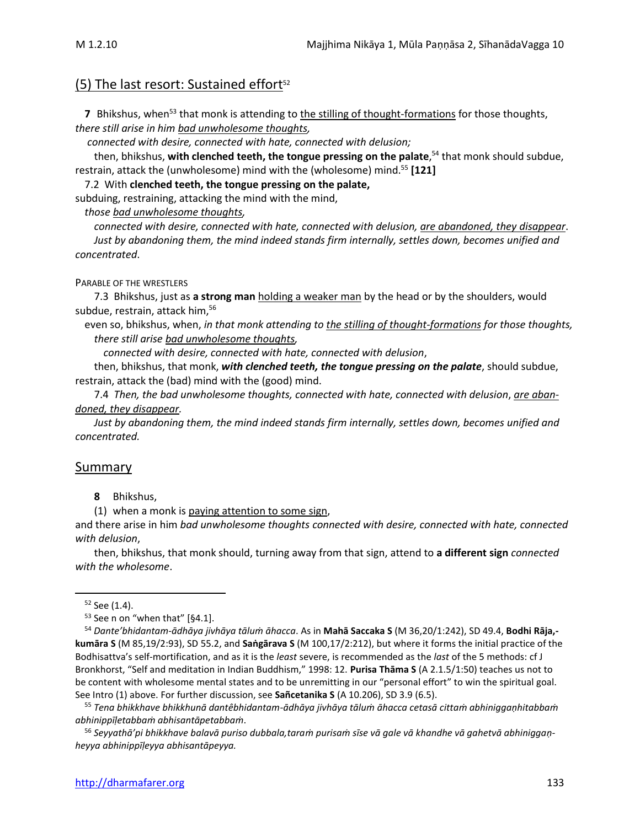#### (5) The last resort: Sustained effort $52$

**7** Bhikshus, when<sup>53</sup> that monk is attending to the stilling of thought-formations for those thoughts, *there still arise in him bad unwholesome thoughts,*

*connected with desire, connected with hate, connected with delusion;*

then, bhikshus, **with clenched teeth, the tongue pressing on the palate**, <sup>54</sup> that monk should subdue, restrain, attack the (unwholesome) mind with the (wholesome) mind.<sup>55</sup> **[121]**

7.2 With **clenched teeth, the tongue pressing on the palate,**

subduing, restraining, attacking the mind with the mind,

*those bad unwholesome thoughts,* 

*connected with desire, connected with hate, connected with delusion, are abandoned, they disappear*. *Just by abandoning them, the mind indeed stands firm internally, settles down, becomes unified and concentrated*.

#### PARABLE OF THE WRESTLERS

7.3 Bhikshus, just as **a strong man** holding a weaker man by the head or by the shoulders, would subdue, restrain, attack him,<sup>56</sup>

even so, bhikshus, when, *in that monk attending to the stilling of thought-formations for those thoughts, there still arise bad unwholesome thoughts,*

*connected with desire, connected with hate, connected with delusion*,

then, bhikshus, that monk, *with clenched teeth, the tongue pressing on the palate*, should subdue, restrain, attack the (bad) mind with the (good) mind.

7.4 *Then, the bad unwholesome thoughts, connected with hate, connected with delusion*, *are abandoned, they disappear.* 

*Just by abandoning them, the mind indeed stands firm internally, settles down, becomes unified and concentrated.*

#### Summary

**8** Bhikshus,

(1) when a monk is paying attention to some sign,

and there arise in him *bad unwholesome thoughts connected with desire, connected with hate, connected with delusion*,

then, bhikshus, that monk should, turning away from that sign, attend to **a different sign** *connected with the wholesome*.

<sup>54</sup> *Dante'bhidantam-ādhāya jivhāya tāluṁ āhacca*. As in **Mahā Saccaka S** (M 36,20/1:242), SD 49.4, **Bodhi Rāja, kumāra S** (M 85,19/2:93), SD 55.2, and **Saṅgārava S** (M 100,17/2:212), but where it forms the initial practice of the Bodhisattva's self-mortification, and as it is the *least* severe, is recommended as the *last* of the 5 methods: cf J Bronkhorst, "Self and meditation in Indian Buddhism," 1998: 12. **Purisa Thāma S** (A 2.1.5/1:50) teaches us not to be content with wholesome mental states and to be unremitting in our "personal effort" to win the spiritual goal. See Intro (1) above. For further discussion, see **Sañcetanika S** (A 10.206), SD 3.9 (6.5).

<sup>55</sup> *Tena bhikkhave bhikkhunā dantêbhidantam-ādhāya jivhāya tāluṁ āhacca cetasā cittaṁ abhiniggaṇhitabbaṁ abhinippīḷetabbaṁ abhisantāpetabbaṁ*.

<sup>56</sup> *Seyyathā'pi bhikkhave balavā puriso dubbala,taraṁ purisaṁ sīse vā gale vā khandhe vā gahetvā abhiniggaṇheyya abhinippīḷeyya abhisantāpeyya.*

<sup>52</sup> See (1.4).

 $53$  See n on "when that" [§4.1].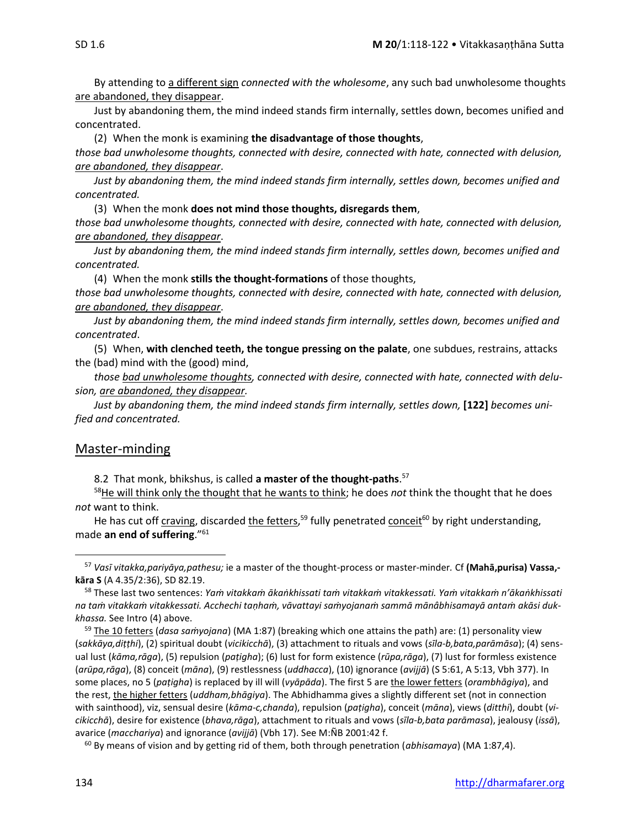By attending to a different sign *connected with the wholesome*, any such bad unwholesome thoughts are abandoned, they disappear.

Just by abandoning them, the mind indeed stands firm internally, settles down, becomes unified and concentrated.

(2) When the monk is examining **the disadvantage of those thoughts**,

*those bad unwholesome thoughts, connected with desire, connected with hate, connected with delusion, are abandoned, they disappear*.

*Just by abandoning them, the mind indeed stands firm internally, settles down, becomes unified and concentrated.* 

(3) When the monk **does not mind those thoughts, disregards them**,

*those bad unwholesome thoughts, connected with desire, connected with hate, connected with delusion, are abandoned, they disappear*.

*Just by abandoning them, the mind indeed stands firm internally, settles down, becomes unified and concentrated.* 

(4) When the monk **stills the thought-formations** of those thoughts, *those bad unwholesome thoughts, connected with desire, connected with hate, connected with delusion, are abandoned, they disappear*.

*Just by abandoning them, the mind indeed stands firm internally, settles down, becomes unified and concentrated*.

(5) When, **with clenched teeth, the tongue pressing on the palate**, one subdues, restrains, attacks the (bad) mind with the (good) mind,

*those bad unwholesome thoughts, connected with desire, connected with hate, connected with delusion, are abandoned, they disappear.* 

Just by abandoning them, the mind indeed stands firm internally, settles down, [122] becomes uni*fied and concentrated.*

#### Master-minding

8.2That monk, bhikshus, is called **a master of the thought-paths**. 57

<sup>58</sup>He will think only the thought that he wants to think; he does *not* think the thought that he does *not* want to think.

He has cut off craving, discarded the fetters,<sup>59</sup> fully penetrated conceit<sup>60</sup> by right understanding, made **an end of suffering**."<sup>61</sup>

<sup>57</sup> *Vasī vitakka,pariyāya,pathesu;* ie a master of the thought-process or master-minder*.* Cf **(Mahā,purisa) Vassa, kāra S** (A 4.35/2:36), SD 82.19.

<sup>58</sup> These last two sentences: *Yaṁ vitakkaṁ ākaṅkhissati taṁ vitakkaṁ vitakkessati. Yaṁ vitakkaṁ n'ākaṅkhissati na taṁ vitakkaṁ vitakkessati. Acchechi taṇhaṁ, vāvattayi saṁyojanaṁ sammā mānâbhisamayā antaṁ akāsi dukkhassa.* See Intro (4) above.

<sup>59</sup> The 10 fetters (*dasa saṁyojana*) (MA 1:87) (breaking which one attains the path) are: (1) personality view (*sakkāya,diṭṭhi*), (2) spiritual doubt (*vicikicchā*), (3) attachment to rituals and vows (*sīla-b,bata,parāmāsa*); (4) sensual lust (*kāma,rāga*), (5) repulsion (*paṭigha*); (6) lust for form existence (*rūpa,rāga*), (7) lust for formless existence (*arūpa,rāga*), (8) conceit (*māna*), (9) restlessness (*uddhacca*), (10) ignorance (*avijjā*) (S 5:61, A 5:13, Vbh 377). In some places, no 5 (*paṭigha*) is replaced by ill will (*vyāpāda*). The first 5 are the lower fetters (*orambhāgiya*), and the rest, the higher fetters (*uddham,bhāgiya*). The Abhidhamma gives a slightly different set (not in connection with sainthood), viz, sensual desire (*kāma-c,chanda*), repulsion (*paṭigha*), conceit (*māna*), views (*ditthi*), doubt (*vicikicchā*), desire for existence (*bhava,rāga*), attachment to rituals and vows (*sīla-b,bata parāmasa*), jealousy (*issā*), avarice (*macchariya*) and ignorance (*avijjā*) (Vbh 17). See M:ÑB 2001:42 f.

<sup>60</sup> By means of vision and by getting rid of them, both through penetration (*abhisamaya*) (MA 1:87,4).